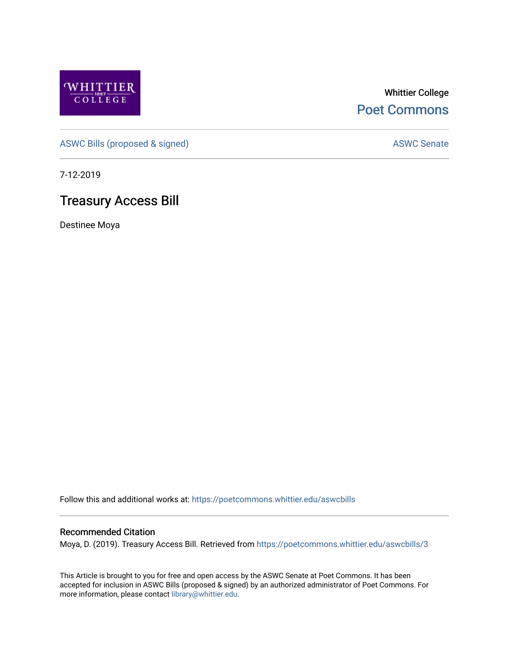

Whittier College [Poet Commons](https://poetcommons.whittier.edu/) 

[ASWC Bills \(proposed & signed\)](https://poetcommons.whittier.edu/aswcbills) ASWC Senate

7-12-2019

## Treasury Access Bill

Destinee Moya

Follow this and additional works at: [https://poetcommons.whittier.edu/aswcbills](https://poetcommons.whittier.edu/aswcbills?utm_source=poetcommons.whittier.edu%2Faswcbills%2F3&utm_medium=PDF&utm_campaign=PDFCoverPages) 

## Recommended Citation

Moya, D. (2019). Treasury Access Bill. Retrieved from [https://poetcommons.whittier.edu/aswcbills/3](https://poetcommons.whittier.edu/aswcbills/3?utm_source=poetcommons.whittier.edu%2Faswcbills%2F3&utm_medium=PDF&utm_campaign=PDFCoverPages)

This Article is brought to you for free and open access by the ASWC Senate at Poet Commons. It has been accepted for inclusion in ASWC Bills (proposed & signed) by an authorized administrator of Poet Commons. For more information, please contact [library@whittier.edu.](mailto:library@whittier.edu)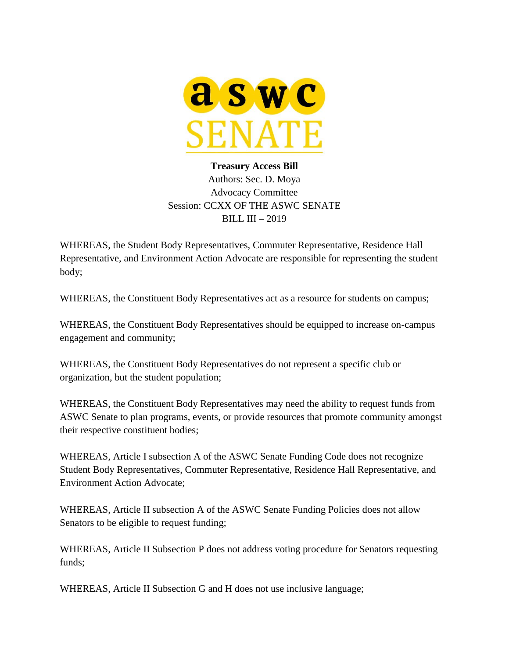

## **Treasury Access Bill** Authors: Sec. D. Moya Advocacy Committee Session: CCXX OF THE ASWC SENATE BILL III – 2019

WHEREAS, the Student Body Representatives, Commuter Representative, Residence Hall Representative, and Environment Action Advocate are responsible for representing the student body;

WHEREAS, the Constituent Body Representatives act as a resource for students on campus;

WHEREAS, the Constituent Body Representatives should be equipped to increase on-campus engagement and community;

WHEREAS, the Constituent Body Representatives do not represent a specific club or organization, but the student population;

WHEREAS, the Constituent Body Representatives may need the ability to request funds from ASWC Senate to plan programs, events, or provide resources that promote community amongst their respective constituent bodies;

WHEREAS, Article I subsection A of the ASWC Senate Funding Code does not recognize Student Body Representatives, Commuter Representative, Residence Hall Representative, and Environment Action Advocate;

WHEREAS, Article II subsection A of the ASWC Senate Funding Policies does not allow Senators to be eligible to request funding;

WHEREAS, Article II Subsection P does not address voting procedure for Senators requesting funds;

WHEREAS, Article II Subsection G and H does not use inclusive language;